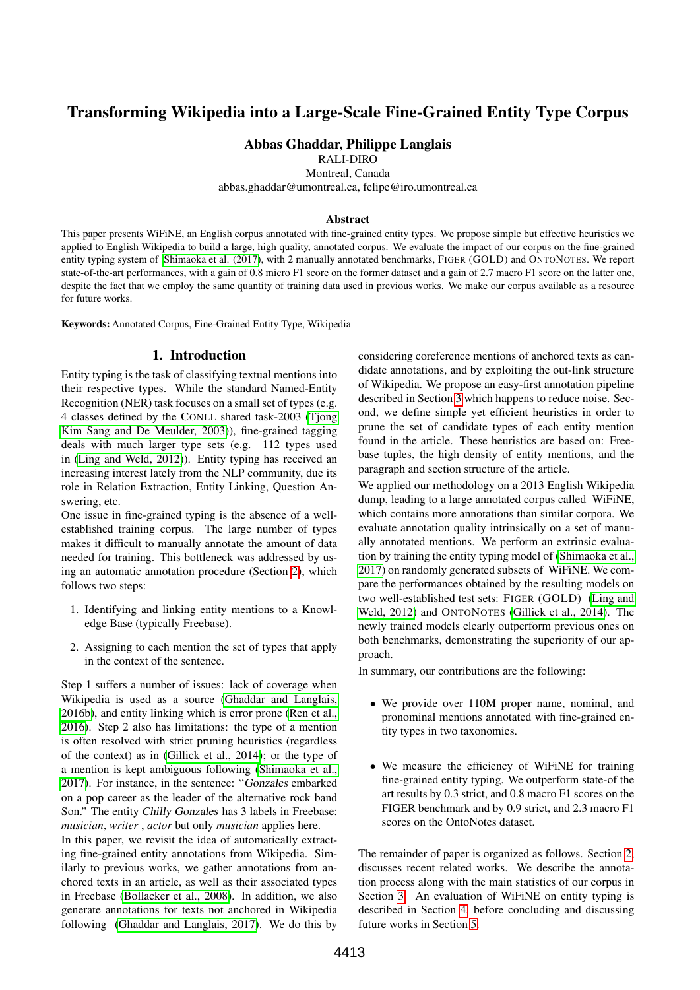# Transforming Wikipedia into a Large-Scale Fine-Grained Entity Type Corpus

# Abbas Ghaddar, Philippe Langlais

RALI-DIRO

Montreal, Canada

abbas.ghaddar@umontreal.ca, felipe@iro.umontreal.ca

#### Abstract

This paper presents WiFiNE, an English corpus annotated with fine-grained entity types. We propose simple but effective heuristics we applied to English Wikipedia to build a large, high quality, annotated corpus. We evaluate the impact of our corpus on the fine-grained entity typing system of [Shimaoka et al. \(2017\)](#page-7-0), with 2 manually annotated benchmarks, FIGER (GOLD) and ONTONOTES. We report state-of-the-art performances, with a gain of 0.8 micro F1 score on the former dataset and a gain of 2.7 macro F1 score on the latter one, despite the fact that we employ the same quantity of training data used in previous works. We make our corpus available as a resource for future works.

Keywords: Annotated Corpus, Fine-Grained Entity Type, Wikipedia

# 1. Introduction

Entity typing is the task of classifying textual mentions into their respective types. While the standard Named-Entity Recognition (NER) task focuses on a small set of types (e.g. 4 classes defined by the CONLL shared task-2003 [\(Tjong](#page-7-1) [Kim Sang and De Meulder, 2003\)](#page-7-1)), fine-grained tagging deals with much larger type sets (e.g. 112 types used in [\(Ling and Weld, 2012\)](#page-7-2)). Entity typing has received an increasing interest lately from the NLP community, due its role in Relation Extraction, Entity Linking, Question Answering, etc.

One issue in fine-grained typing is the absence of a wellestablished training corpus. The large number of types makes it difficult to manually annotate the amount of data needed for training. This bottleneck was addressed by using an automatic annotation procedure (Section [2\)](#page-0-0), which follows two steps:

- 1. Identifying and linking entity mentions to a Knowledge Base (typically Freebase).
- 2. Assigning to each mention the set of types that apply in the context of the sentence.

Step 1 suffers a number of issues: lack of coverage when Wikipedia is used as a source [\(Ghaddar and Langlais,](#page-7-3) [2016b\)](#page-7-3), and entity linking which is error prone [\(Ren et al.,](#page-7-4) [2016\)](#page-7-4). Step 2 also has limitations: the type of a mention is often resolved with strict pruning heuristics (regardless of the context) as in [\(Gillick et al., 2014\)](#page-7-5); or the type of a mention is kept ambiguous following [\(Shimaoka et al.,](#page-7-0) [2017\)](#page-7-0). For instance, in the sentence: "Gonzales embarked on a pop career as the leader of the alternative rock band Son." The entity Chilly Gonzales has 3 labels in Freebase: *musician*, *writer* , *actor* but only *musician* applies here.

In this paper, we revisit the idea of automatically extracting fine-grained entity annotations from Wikipedia. Similarly to previous works, we gather annotations from anchored texts in an article, as well as their associated types in Freebase [\(Bollacker et al., 2008\)](#page-7-6). In addition, we also generate annotations for texts not anchored in Wikipedia following [\(Ghaddar and Langlais, 2017\)](#page-7-7). We do this by

considering coreference mentions of anchored texts as candidate annotations, and by exploiting the out-link structure of Wikipedia. We propose an easy-first annotation pipeline described in Section [3](#page-1-0) which happens to reduce noise. Second, we define simple yet efficient heuristics in order to prune the set of candidate types of each entity mention found in the article. These heuristics are based on: Freebase tuples, the high density of entity mentions, and the paragraph and section structure of the article.

We applied our methodology on a 2013 English Wikipedia dump, leading to a large annotated corpus called WiFiNE, which contains more annotations than similar corpora. We evaluate annotation quality intrinsically on a set of manually annotated mentions. We perform an extrinsic evaluation by training the entity typing model of [\(Shimaoka et al.,](#page-7-0) [2017\)](#page-7-0) on randomly generated subsets of WiFiNE. We compare the performances obtained by the resulting models on two well-established test sets: FIGER (GOLD) [\(Ling and](#page-7-2) [Weld, 2012\)](#page-7-2) and ONTONOTES [\(Gillick et al., 2014\)](#page-7-5). The newly trained models clearly outperform previous ones on both benchmarks, demonstrating the superiority of our approach.

In summary, our contributions are the following:

- We provide over 110M proper name, nominal, and pronominal mentions annotated with fine-grained entity types in two taxonomies.
- We measure the efficiency of WiFiNE for training fine-grained entity typing. We outperform state-of the art results by 0.3 strict, and 0.8 macro F1 scores on the FIGER benchmark and by 0.9 strict, and 2.3 macro F1 scores on the OntoNotes dataset.

<span id="page-0-0"></span>The remainder of paper is organized as follows. Section [2,](#page-0-0) discusses recent related works. We describe the annotation process along with the main statistics of our corpus in Section [3.](#page-1-0) An evaluation of WiFiNE on entity typing is described in Section [4,](#page-4-0) before concluding and discussing future works in Section [5.](#page-6-0)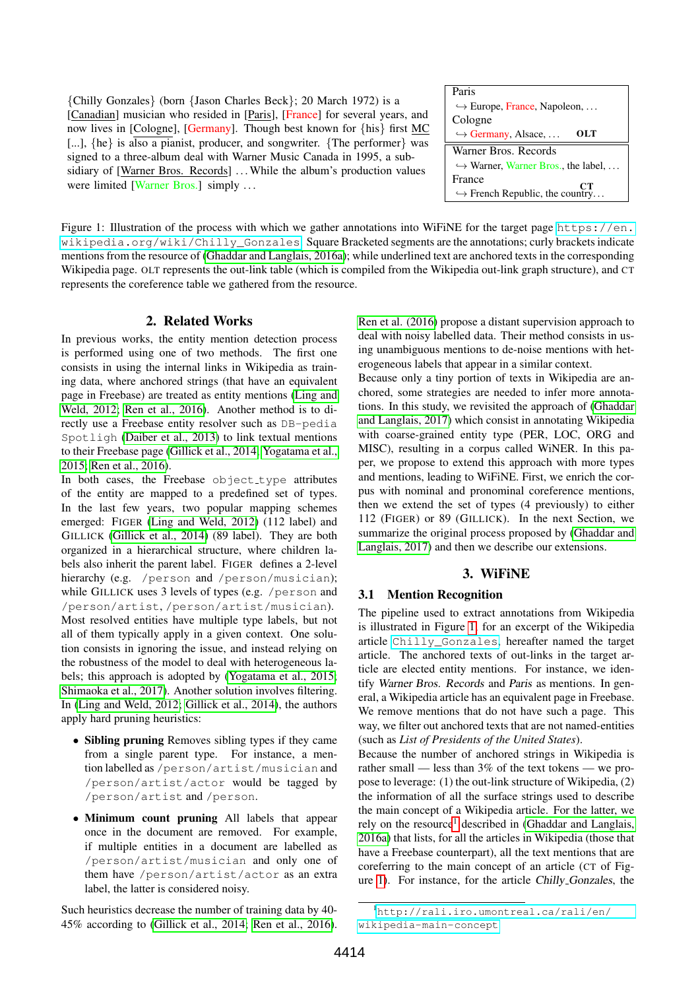{Chilly Gonzales} (born {Jason Charles Beck}; 20 March 1972) is a [Canadian] musician who resided in [Paris], [France] for several years, and now lives in [Cologne], [Germany]. Though best known for {his} first MC [...], {he} is also a pianist, producer, and songwriter. {The performer} was signed to a three-album deal with Warner Music Canada in 1995, a subsidiary of [Warner Bros. Records] ... While the album's production values were limited [Warner Bros.] simply ...

| Paris                                              |  |  |  |
|----------------------------------------------------|--|--|--|
| $\hookrightarrow$ Europe, France, Napoleon,        |  |  |  |
| Cologne                                            |  |  |  |
| OLT<br>$\hookrightarrow$ Germany, Alsace,          |  |  |  |
| Warner Bros. Records                               |  |  |  |
| $\hookrightarrow$ Warner, Warner Bros., the label, |  |  |  |
| France<br>CТ                                       |  |  |  |
| $\hookrightarrow$ French Republic, the country     |  |  |  |

<span id="page-1-1"></span>Figure 1: Illustration of the process with which we gather annotations into WiFiNE for the target page [https://en.](https://en.wikipedia.org/wiki/Chilly_Gonzales) [wikipedia.org/wiki/Chilly\\_Gonzales](https://en.wikipedia.org/wiki/Chilly_Gonzales). Square Bracketed segments are the annotations; curly brackets indicate mentions from the resource of [\(Ghaddar and Langlais, 2016a\)](#page-7-8); while underlined text are anchored texts in the corresponding Wikipedia page. OLT represents the out-link table (which is compiled from the Wikipedia out-link graph structure), and CT represents the coreference table we gathered from the resource.

## 2. Related Works

In previous works, the entity mention detection process is performed using one of two methods. The first one consists in using the internal links in Wikipedia as training data, where anchored strings (that have an equivalent page in Freebase) are treated as entity mentions [\(Ling and](#page-7-2) [Weld, 2012;](#page-7-2) [Ren et al., 2016\)](#page-7-4). Another method is to directly use a Freebase entity resolver such as DB-pedia Spotligh [\(Daiber et al., 2013\)](#page-7-9) to link textual mentions to their Freebase page [\(Gillick et al., 2014;](#page-7-5) [Yogatama et al.,](#page-7-10) [2015;](#page-7-10) [Ren et al., 2016\)](#page-7-4).

In both cases, the Freebase object\_type attributes of the entity are mapped to a predefined set of types. In the last few years, two popular mapping schemes emerged: FIGER [\(Ling and Weld, 2012\)](#page-7-2) (112 label) and GILLICK [\(Gillick et al., 2014\)](#page-7-5) (89 label). They are both organized in a hierarchical structure, where children labels also inherit the parent label. FIGER defines a 2-level hierarchy (e.g. / person and / person/musician); while GILLICK uses 3 levels of types (e.g. /person and /person/artist, /person/artist/musician). Most resolved entities have multiple type labels, but not all of them typically apply in a given context. One solution consists in ignoring the issue, and instead relying on the robustness of the model to deal with heterogeneous labels; this approach is adopted by [\(Yogatama et al., 2015;](#page-7-10) [Shimaoka et al., 2017\)](#page-7-0). Another solution involves filtering. In [\(Ling and Weld, 2012;](#page-7-2) [Gillick et al., 2014\)](#page-7-5), the authors apply hard pruning heuristics:

- Sibling pruning Removes sibling types if they came from a single parent type. For instance, a mention labelled as /person/artist/musician and /person/artist/actor would be tagged by /person/artist and /person.
- Minimum count pruning All labels that appear once in the document are removed. For example, if multiple entities in a document are labelled as /person/artist/musician and only one of them have /person/artist/actor as an extra label, the latter is considered noisy.

Such heuristics decrease the number of training data by 40- 45% according to [\(Gillick et al., 2014;](#page-7-5) [Ren et al., 2016\)](#page-7-4). [Ren et al. \(2016\)](#page-7-4) propose a distant supervision approach to deal with noisy labelled data. Their method consists in using unambiguous mentions to de-noise mentions with heterogeneous labels that appear in a similar context.

Because only a tiny portion of texts in Wikipedia are anchored, some strategies are needed to infer more annotations. In this study, we revisited the approach of [\(Ghaddar](#page-7-7) [and Langlais, 2017\)](#page-7-7) which consist in annotating Wikipedia with coarse-grained entity type (PER, LOC, ORG and MISC), resulting in a corpus called WiNER. In this paper, we propose to extend this approach with more types and mentions, leading to WiFiNE. First, we enrich the corpus with nominal and pronominal coreference mentions, then we extend the set of types (4 previously) to either 112 (FIGER) or 89 (GILLICK). In the next Section, we summarize the original process proposed by [\(Ghaddar and](#page-7-7) [Langlais, 2017\)](#page-7-7) and then we describe our extensions.

#### 3. WiFiNE

#### <span id="page-1-3"></span><span id="page-1-0"></span>3.1 Mention Recognition

The pipeline used to extract annotations from Wikipedia is illustrated in Figure [1,](#page-1-1) for an excerpt of the Wikipedia article [Chilly\\_Gonzales](Chilly_Gonzales), hereafter named the target article. The anchored texts of out-links in the target article are elected entity mentions. For instance, we identify Warner Bros. Records and Paris as mentions. In general, a Wikipedia article has an equivalent page in Freebase. We remove mentions that do not have such a page. This way, we filter out anchored texts that are not named-entities (such as *List of Presidents of the United States*).

Because the number of anchored strings in Wikipedia is rather small — less than 3% of the text tokens — we propose to leverage: (1) the out-link structure of Wikipedia, (2) the information of all the surface strings used to describe the main concept of a Wikipedia article. For the latter, we rely on the resource<sup>[1](#page-1-2)</sup> described in [\(Ghaddar and Langlais,](#page-7-8) [2016a\)](#page-7-8) that lists, for all the articles in Wikipedia (those that have a Freebase counterpart), all the text mentions that are coreferring to the main concept of an article (CT of Figure [1\)](#page-1-1). For instance, for the article Chilly Gonzales, the

<span id="page-1-2"></span><sup>1</sup>[http://rali.iro.umontreal.ca/rali/en/](http://rali.iro.umontreal.ca/ rali/en/wikipedia-main-concept) [wikipedia-main-concept](http://rali.iro.umontreal.ca/ rali/en/wikipedia-main-concept)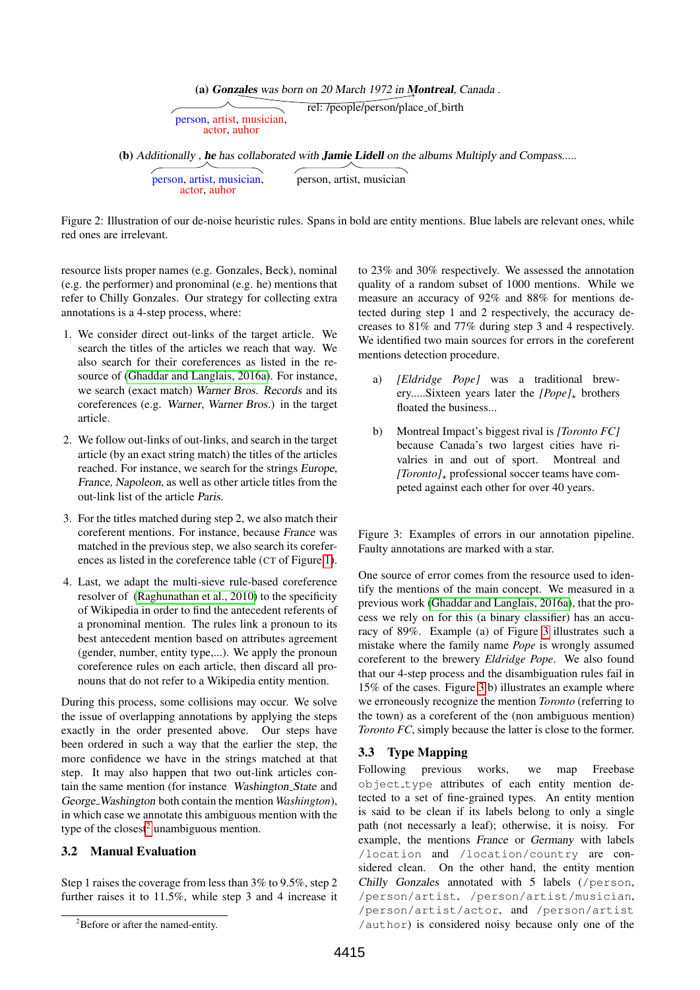(a) Gonzales was born on 20 March 1972 in Montreal, Canada .

rel: /people/person/place of birth person, artist, musician, actor, auhor

(b) Additionally, he has collaborated with **Jamie Lidell** on the albums Multiply and Compass.....

person, artist, musician, actor, auhor person, artist, musician

<span id="page-2-2"></span>Figure 2: Illustration of our de-noise heuristic rules. Spans in bold are entity mentions. Blue labels are relevant ones, while red ones are irrelevant.

resource lists proper names (e.g. Gonzales, Beck), nominal (e.g. the performer) and pronominal (e.g. he) mentions that refer to Chilly Gonzales. Our strategy for collecting extra annotations is a 4-step process, where:

- 1. We consider direct out-links of the target article. We search the titles of the articles we reach that way. We also search for their coreferences as listed in the resource of [\(Ghaddar and Langlais, 2016a\)](#page-7-8). For instance, we search (exact match) Warner Bros. Records and its coreferences (e.g. Warner, Warner Bros.) in the target article.
- 2. We follow out-links of out-links, and search in the target article (by an exact string match) the titles of the articles reached. For instance, we search for the strings Europe, France, Napoleon, as well as other article titles from the out-link list of the article Paris.
- 3. For the titles matched during step 2, we also match their coreferent mentions. For instance, because France was matched in the previous step, we also search its coreferences as listed in the coreference table (CT of Figure [1\)](#page-1-1).
- 4. Last, we adapt the multi-sieve rule-based coreference resolver of [\(Raghunathan et al., 2010\)](#page-7-11) to the specificity of Wikipedia in order to find the antecedent referents of a pronominal mention. The rules link a pronoun to its best antecedent mention based on attributes agreement (gender, number, entity type,...). We apply the pronoun coreference rules on each article, then discard all pronouns that do not refer to a Wikipedia entity mention.

During this process, some collisions may occur. We solve the issue of overlapping annotations by applying the steps exactly in the order presented above. Our steps have been ordered in such a way that the earlier the step, the more confidence we have in the strings matched at that step. It may also happen that two out-link articles contain the same mention (for instance Washington State and George Washington both contain the mention *Washington*), in which case we annotate this ambiguous mention with the type of the closest<sup>[2](#page-2-0)</sup> unambiguous mention.

# 3.2 Manual Evaluation

Step 1 raises the coverage from less than 3% to 9.5%, step 2 further raises it to 11.5%, while step 3 and 4 increase it to 23% and 30% respectively. We assessed the annotation quality of a random subset of 1000 mentions. While we measure an accuracy of 92% and 88% for mentions detected during step 1 and 2 respectively, the accuracy decreases to 81% and 77% during step 3 and 4 respectively. We identified two main sources for errors in the coreferent mentions detection procedure.

- a) *[Eldridge Pope]* was a traditional brewery.....Sixteen years later the *[Pope]*<sup>\*</sup> brothers floated the business...
- b) Montreal Impact's biggest rival is *[Toronto FC]* because Canada's two largest cities have rivalries in and out of sport. Montreal and *[Toronto]* $_{\star}$  professional soccer teams have competed against each other for over 40 years.

<span id="page-2-1"></span>Figure 3: Examples of errors in our annotation pipeline. Faulty annotations are marked with a star.

One source of error comes from the resource used to identify the mentions of the main concept. We measured in a previous work [\(Ghaddar and Langlais, 2016a\)](#page-7-8), that the process we rely on for this (a binary classifier) has an accuracy of 89%. Example (a) of Figure [3](#page-2-1) illustrates such a mistake where the family name *Pope* is wrongly assumed coreferent to the brewery *Eldridge Pope*. We also found that our 4-step process and the disambiguation rules fail in 15% of the cases. Figure [3](#page-2-1) b) illustrates an example where we erroneously recognize the mention *Toronto* (referring to the town) as a coreferent of the (non ambiguous mention) *Toronto FC*, simply because the latter is close to the former.

# 3.3 Type Mapping

Following previous works, we map Freebase object type attributes of each entity mention detected to a set of fine-grained types. An entity mention is said to be clean if its labels belong to only a single path (not necessarly a leaf); otherwise, it is noisy. For example, the mentions France or Germany with labels /location and /location/country are considered clean. On the other hand, the entity mention Chilly Gonzales annotated with 5 labels (/person, /person/artist, /person/artist/musician, /person/artist/actor, and /person/artist /author) is considered noisy because only one of the

<span id="page-2-0"></span><sup>2</sup>Before or after the named-entity.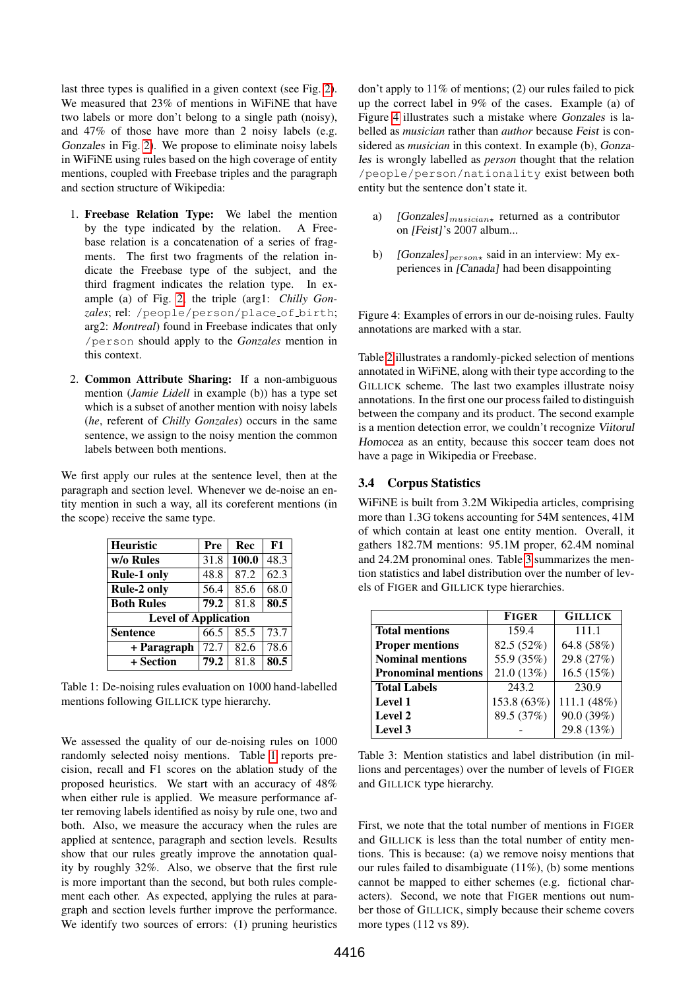last three types is qualified in a given context (see Fig. [2\)](#page-2-2). We measured that 23% of mentions in WiFiNE that have two labels or more don't belong to a single path (noisy), and 47% of those have more than 2 noisy labels (e.g. Gonzales in Fig. [2\)](#page-2-2). We propose to eliminate noisy labels in WiFiNE using rules based on the high coverage of entity mentions, coupled with Freebase triples and the paragraph and section structure of Wikipedia:

- 1. Freebase Relation Type: We label the mention by the type indicated by the relation. A Freebase relation is a concatenation of a series of fragments. The first two fragments of the relation indicate the Freebase type of the subject, and the third fragment indicates the relation type. In example (a) of Fig. [2,](#page-2-2) the triple (arg1: *Chilly Gonzales*; rel: /people/person/place of birth; arg2: *Montreal*) found in Freebase indicates that only /person should apply to the *Gonzales* mention in this context.
- 2. Common Attribute Sharing: If a non-ambiguous mention (*Jamie Lidell* in example (b)) has a type set which is a subset of another mention with noisy labels (*he*, referent of *Chilly Gonzales*) occurs in the same sentence, we assign to the noisy mention the common labels between both mentions.

We first apply our rules at the sentence level, then at the paragraph and section level. Whenever we de-noise an entity mention in such a way, all its coreferent mentions (in the scope) receive the same type.

| <b>Heuristic</b>            | Pre  | Rec   | F1   |  |  |  |
|-----------------------------|------|-------|------|--|--|--|
| w/o Rules                   | 31.8 | 100.0 | 48.3 |  |  |  |
| <b>Rule-1 only</b>          | 48.8 | 87.2  | 62.3 |  |  |  |
| <b>Rule-2 only</b>          | 56.4 | 85.6  | 68.0 |  |  |  |
| <b>Both Rules</b>           | 79.2 | 81.8  | 80.5 |  |  |  |
| <b>Level of Application</b> |      |       |      |  |  |  |
| <b>Sentence</b>             | 66.5 | 85.5  | 73.7 |  |  |  |
| + Paragraph                 | 72.7 | 82.6  | 78.6 |  |  |  |
| + Section                   | 79.2 | 81.8  | 80.5 |  |  |  |

<span id="page-3-0"></span>Table 1: De-noising rules evaluation on 1000 hand-labelled mentions following GILLICK type hierarchy.

We assessed the quality of our de-noising rules on 1000 randomly selected noisy mentions. Table [1](#page-3-0) reports precision, recall and F1 scores on the ablation study of the proposed heuristics. We start with an accuracy of 48% when either rule is applied. We measure performance after removing labels identified as noisy by rule one, two and both. Also, we measure the accuracy when the rules are applied at sentence, paragraph and section levels. Results show that our rules greatly improve the annotation quality by roughly 32%. Also, we observe that the first rule is more important than the second, but both rules complement each other. As expected, applying the rules at paragraph and section levels further improve the performance. We identify two sources of errors: (1) pruning heuristics

don't apply to 11% of mentions; (2) our rules failed to pick up the correct label in 9% of the cases. Example (a) of Figure [4](#page-3-1) illustrates such a mistake where Gonzales is labelled as *musician* rather than *author* because Feist is considered as *musician* in this context. In example (b), Gonzales is wrongly labelled as *person* thought that the relation /people/person/nationality exist between both entity but the sentence don't state it.

- a)  $[Gonzales]_{musicians}$  returned as a contributor on [Feist]'s 2007 album...
- b) [Gonzales] $_{person*}$  said in an interview: My experiences in [Canada] had been disappointing

<span id="page-3-1"></span>Figure 4: Examples of errors in our de-noising rules. Faulty annotations are marked with a star.

Table [2](#page-4-1) illustrates a randomly-picked selection of mentions annotated in WiFiNE, along with their type according to the GILLICK scheme. The last two examples illustrate noisy annotations. In the first one our process failed to distinguish between the company and its product. The second example is a mention detection error, we couldn't recognize Viitorul Homocea as an entity, because this soccer team does not have a page in Wikipedia or Freebase.

## 3.4 Corpus Statistics

WiFiNE is built from 3.2M Wikipedia articles, comprising more than 1.3G tokens accounting for 54M sentences, 41M of which contain at least one entity mention. Overall, it gathers 182.7M mentions: 95.1M proper, 62.4M nominal and 24.2M pronominal ones. Table [3](#page-3-2) summarizes the mention statistics and label distribution over the number of levels of FIGER and GILLICK type hierarchies.

|                            | <b>FIGER</b> | <b>GILLICK</b> |
|----------------------------|--------------|----------------|
| <b>Total mentions</b>      | 159.4        | 111.1          |
| <b>Proper mentions</b>     | 82.5 (52%)   | 64.8 (58%)     |
| <b>Nominal mentions</b>    | 55.9 (35%)   | 29.8 (27%)     |
| <b>Pronominal mentions</b> | 21.0 (13%)   | 16.5(15%)      |
| <b>Total Labels</b>        | 243.2        | 230.9          |
| <b>Level 1</b>             | 153.8 (63%)  | 111.1 (48%)    |
| <b>Level 2</b>             | 89.5 (37%)   | 90.0 (39%)     |
| Level 3                    |              | 29.8 (13%)     |

<span id="page-3-2"></span>Table 3: Mention statistics and label distribution (in millions and percentages) over the number of levels of FIGER and GILLICK type hierarchy.

First, we note that the total number of mentions in FIGER and GILLICK is less than the total number of entity mentions. This is because: (a) we remove noisy mentions that our rules failed to disambiguate (11%), (b) some mentions cannot be mapped to either schemes (e.g. fictional characters). Second, we note that FIGER mentions out number those of GILLICK, simply because their scheme covers more types (112 vs 89).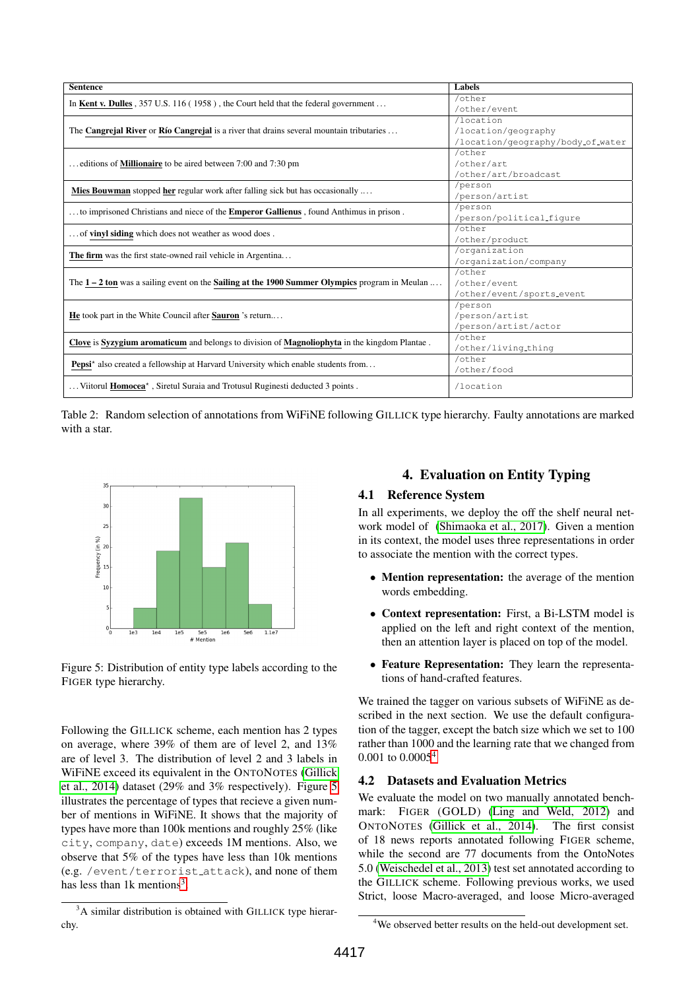| <b>Sentence</b>                                                                                         | Labels                            |
|---------------------------------------------------------------------------------------------------------|-----------------------------------|
| In Kent v. Dulles , $357$ U.S. 116 (1958), the Court held that the federal government                   | /other                            |
|                                                                                                         | /other/event                      |
|                                                                                                         | /location                         |
| The <b>Cangrejal River</b> or <b>Río Cangrejal</b> is a river that drains several mountain tributaries  | /location/geography               |
|                                                                                                         | /location/geography/body_of_water |
|                                                                                                         | /other                            |
| editions of <b>Millionaire</b> to be aired between 7:00 and 7:30 pm                                     | /other/art                        |
|                                                                                                         | /other/art/broadcast              |
| <b>Mies Bouwman</b> stopped <b>her</b> regular work after falling sick but has occasionally             | /person                           |
|                                                                                                         | /person/artist                    |
| to imprisoned Christians and niece of the <b>Emperor Gallienus</b> , found Anthimus in prison.          | /person                           |
|                                                                                                         | /person/political_figure          |
| of vinyl siding which does not weather as wood does.                                                    | /other                            |
|                                                                                                         | /other/product                    |
| The firm was the first state-owned rail vehicle in Argentina                                            | /organization                     |
|                                                                                                         | /organization/company             |
|                                                                                                         | /other                            |
| The $1 - 2$ ton was a sailing event on the <b>Sailing at the 1900 Summer Olympics</b> program in Meulan | /other/event                      |
|                                                                                                         | /other/event/sports_event         |
|                                                                                                         | /person                           |
| He took part in the White Council after Sauron 's return                                                | /person/artist                    |
|                                                                                                         | /person/artist/actor              |
| Clove is Syzygium aromaticum and belongs to division of Magnoliophyta in the kingdom Plantae.           | /other                            |
|                                                                                                         | /other/living_thing               |
| <b>Pepsi</b> <sup>*</sup> also created a fellowship at Harvard University which enable students from    | /other                            |
|                                                                                                         | /other/food                       |
| Viitorul <b>Homocea</b> <sup>*</sup> , Siretul Suraia and Trotusul Ruginesti deducted 3 points.         | /location                         |

<span id="page-4-1"></span>Table 2: Random selection of annotations from WiFiNE following GILLICK type hierarchy. Faulty annotations are marked with a star.



<span id="page-4-2"></span>Figure 5: Distribution of entity type labels according to the FIGER type hierarchy.

Following the GILLICK scheme, each mention has 2 types on average, where 39% of them are of level 2, and 13% are of level 3. The distribution of level 2 and 3 labels in WiFiNE exceed its equivalent in the ONTONOTES [\(Gillick](#page-7-5) [et al., 2014\)](#page-7-5) dataset (29% and 3% respectively). Figure [5](#page-4-2) illustrates the percentage of types that recieve a given number of mentions in WiFiNE. It shows that the majority of types have more than 100k mentions and roughly 25% (like city, company, date) exceeds 1M mentions. Also, we observe that 5% of the types have less than 10k mentions (e.g. /event/terrorist attack), and none of them has less than  $1k$  mentions<sup>[3](#page-4-3)</sup>.

# 4. Evaluation on Entity Typing

## 4.1 Reference System

In all experiments, we deploy the off the shelf neural network model of [\(Shimaoka et al., 2017\)](#page-7-0). Given a mention in its context, the model uses three representations in order to associate the mention with the correct types.

- Mention representation: the average of the mention words embedding.
- Context representation: First, a Bi-LSTM model is applied on the left and right context of the mention, then an attention layer is placed on top of the model.
- Feature Representation: They learn the representations of hand-crafted features.

We trained the tagger on various subsets of WiFiNE as described in the next section. We use the default configuration of the tagger, except the batch size which we set to 100 rather than 1000 and the learning rate that we changed from 0.001 to 0.0005[4](#page-4-4)

# 4.2 Datasets and Evaluation Metrics

We evaluate the model on two manually annotated benchmark: FIGER (GOLD) [\(Ling and Weld, 2012\)](#page-7-2) and ONTONOTES [\(Gillick et al., 2014\)](#page-7-5). The first consist of 18 news reports annotated following FIGER scheme, while the second are 77 documents from the OntoNotes 5.0 [\(Weischedel et al., 2013\)](#page-7-12) test set annotated according to the GILLICK scheme. Following previous works, we used Strict, loose Macro-averaged, and loose Micro-averaged

<span id="page-4-3"></span><span id="page-4-0"></span><sup>&</sup>lt;sup>3</sup>A similar distribution is obtained with GILLICK type hierarchy.

<span id="page-4-4"></span><sup>4</sup>We observed better results on the held-out development set.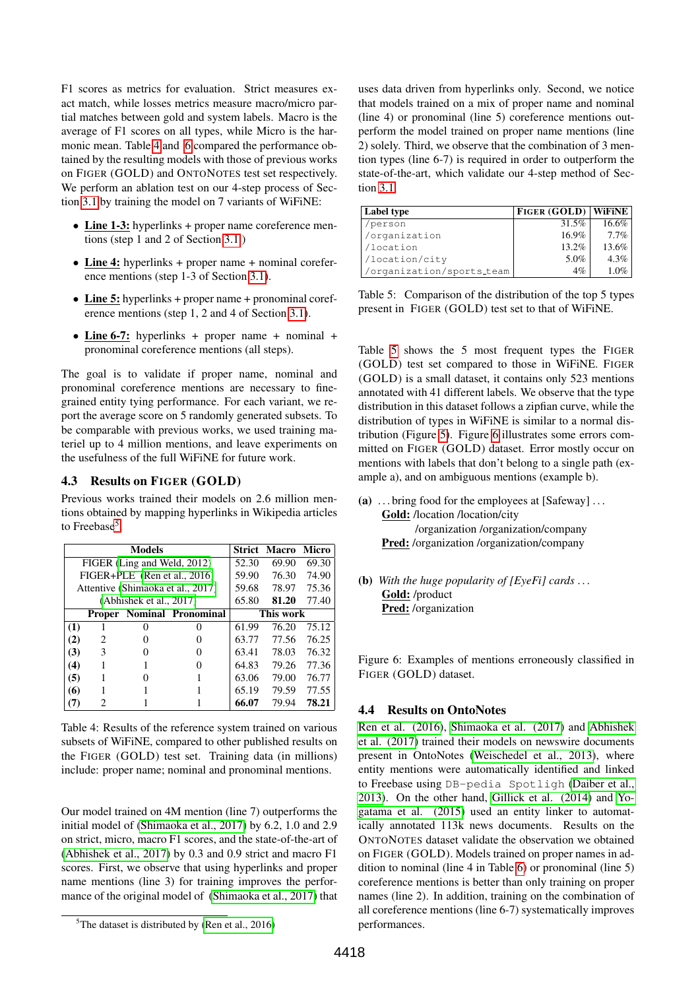F1 scores as metrics for evaluation. Strict measures exact match, while losses metrics measure macro/micro partial matches between gold and system labels. Macro is the average of F1 scores on all types, while Micro is the harmonic mean. Table [4](#page-5-0) and [6](#page-6-1) compared the performance obtained by the resulting models with those of previous works on FIGER (GOLD) and ONTONOTES test set respectively. We perform an ablation test on our 4-step process of Section [3.1](#page-1-3) by training the model on 7 variants of WiFiNE:

- Line 1-3: hyperlinks + proper name coreference mentions (step 1 and 2 of Section [3.1](#page-1-3) )
- Line 4: hyperlinks + proper name + nominal coreference mentions (step 1-3 of Section [3.1\)](#page-1-3).
- Line 5: hyperlinks + proper name + pronominal coreference mentions (step 1, 2 and 4 of Section [3.1\)](#page-1-3).
- Line 6-7: hyperlinks + proper name + nominal + pronominal coreference mentions (all steps).

The goal is to validate if proper name, nominal and pronominal coreference mentions are necessary to finegrained entity tying performance. For each variant, we report the average score on 5 randomly generated subsets. To be comparable with previous works, we used training materiel up to 4 million mentions, and leave experiments on the usefulness of the full WiFiNE for future work.

## 4.3 Results on FIGER (GOLD)

Previous works trained their models on 2.6 million mentions obtained by mapping hyperlinks in Wikipedia articles to Freebase<sup>[5](#page-5-1)</sup>.

| <b>Models</b> |   |                             |                                   | <b>Strict Macro Micro</b> |       |       |
|---------------|---|-----------------------------|-----------------------------------|---------------------------|-------|-------|
|               |   | FIGER (Ling and Weld, 2012) |                                   | 52.30                     | 69.90 | 69.30 |
|               |   |                             | FIGER+PLE (Ren et al., 2016)      | 59.90                     | 76.30 | 74.90 |
|               |   |                             | Attentive (Shimaoka et al., 2017) | 59.68                     | 78.97 | 75.36 |
|               |   | (Abhishek et al., 2017)     |                                   | 65.80                     | 81.20 | 77.40 |
|               |   |                             | <b>Proper Nominal Pronominal</b>  | This work                 |       |       |
| (1)           |   |                             |                                   | 61.99                     | 76.20 | 75.12 |
| (2)           | 2 |                             |                                   | 63.77                     | 77.56 | 76.25 |
| (3)           | 3 |                             |                                   | 63.41                     | 78.03 | 76.32 |
| (4)           |   |                             |                                   | 64.83                     | 79.26 | 77.36 |
| (5)           |   |                             |                                   | 63.06                     | 79.00 | 76.77 |
| (6)           |   |                             |                                   | 65.19                     | 79.59 | 77.55 |
|               |   |                             |                                   | 66.07                     | 79.94 | 78.21 |

<span id="page-5-0"></span>Table 4: Results of the reference system trained on various subsets of WiFiNE, compared to other published results on the FIGER (GOLD) test set. Training data (in millions) include: proper name; nominal and pronominal mentions.

Our model trained on 4M mention (line 7) outperforms the initial model of [\(Shimaoka et al., 2017\)](#page-7-0) by 6.2, 1.0 and 2.9 on strict, micro, macro F1 scores, and the state-of-the-art of [\(Abhishek et al., 2017\)](#page-7-13) by 0.3 and 0.9 strict and macro F1 scores. First, we observe that using hyperlinks and proper name mentions (line 3) for training improves the performance of the original model of [\(Shimaoka et al., 2017\)](#page-7-0) that uses data driven from hyperlinks only. Second, we notice that models trained on a mix of proper name and nominal (line 4) or pronominal (line 5) coreference mentions outperform the model trained on proper name mentions (line 2) solely. Third, we observe that the combination of 3 mention types (line 6-7) is required in order to outperform the state-of-the-art, which validate our 4-step method of Section [3.1.](#page-1-3)

| Label type                | <b>FIGER (GOLD) WIFINE</b> |         |
|---------------------------|----------------------------|---------|
| /person                   | $31.5\%$                   | 16.6%   |
| /organization             | $16.9\%$                   | 7.7%    |
| /location                 | $13.2\%$                   | 13.6%   |
| /location/city            | 5.0%                       | $4.3\%$ |
| /organization/sports_team | $4\%$                      | $1.0\%$ |

<span id="page-5-2"></span>Table 5: Comparison of the distribution of the top 5 types present in FIGER (GOLD) test set to that of WiFiNE.

Table [5](#page-5-2) shows the 5 most frequent types the FIGER (GOLD) test set compared to those in WiFiNE. FIGER (GOLD) is a small dataset, it contains only 523 mentions annotated with 41 different labels. We observe that the type distribution in this dataset follows a zipfian curve, while the distribution of types in WiFiNE is similar to a normal distribution (Figure [5\)](#page-4-2). Figure [6](#page-5-3) illustrates some errors committed on FIGER (GOLD) dataset. Error mostly occur on mentions with labels that don't belong to a single path (example a), and on ambiguous mentions (example b).

(a)  $\ldots$  bring food for the employees at [Safeway]  $\ldots$ Gold: /location /location/city

/organization /organization/company Pred: /organization /organization/company

(b) *With the huge popularity of [EyeFi] cards* . . . Gold: /product Pred: /organization

<span id="page-5-3"></span>Figure 6: Examples of mentions erroneously classified in FIGER (GOLD) dataset.

### 4.4 Results on OntoNotes

[Ren et al. \(2016\)](#page-7-4), [Shimaoka et al. \(2017\)](#page-7-0) and [Abhishek](#page-7-13) [et al. \(2017\)](#page-7-13) trained their models on newswire documents present in OntoNotes [\(Weischedel et al., 2013\)](#page-7-12), where entity mentions were automatically identified and linked to Freebase using DB-pedia Spotligh [\(Daiber et al.,](#page-7-9) [2013\)](#page-7-9). On the other hand, [Gillick et al. \(2014\)](#page-7-5) and [Yo](#page-7-10)[gatama et al. \(2015\)](#page-7-10) used an entity linker to automatically annotated 113k news documents. Results on the ONTONOTES dataset validate the observation we obtained on FIGER (GOLD). Models trained on proper names in addition to nominal (line 4 in Table [6\)](#page-6-1) or pronominal (line 5) coreference mentions is better than only training on proper names (line 2). In addition, training on the combination of all coreference mentions (line 6-7) systematically improves performances.

<span id="page-5-1"></span> ${}^{5}$ The dataset is distributed by [\(Ren et al., 2016\)](#page-7-4)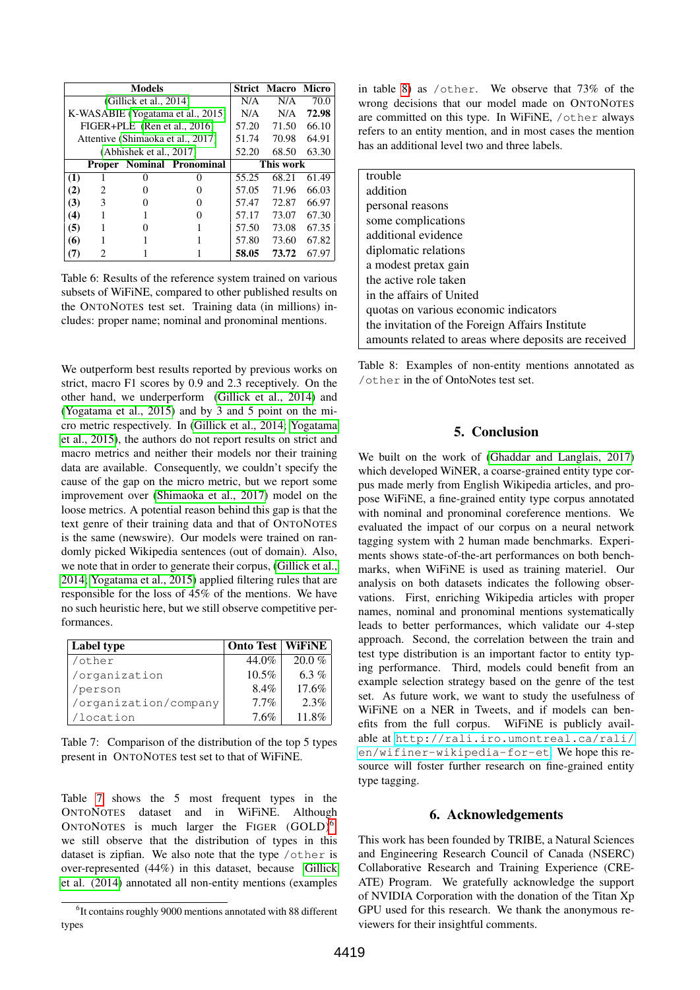| <b>Models</b>           |   |                        |                                   | <b>Strict Macro</b> | <b>Micro</b> |       |
|-------------------------|---|------------------------|-----------------------------------|---------------------|--------------|-------|
|                         |   | (Gillick et al., 2014) |                                   | N/A                 | N/A          | 70.0  |
|                         |   |                        | K-WASABIE (Yogatama et al., 2015) | N/A                 | N/A          | 72.98 |
|                         |   |                        | FIGER+PLE (Ren et al., 2016)      | 57.20               | 71.50        | 66.10 |
|                         |   |                        | Attentive (Shimaoka et al., 2017) | 51.74               | 70.98        | 64.91 |
| (Abhishek et al., 2017) |   |                        | 52.20                             | 68.50               | 63.30        |       |
|                         |   |                        | <b>Proper Nominal Pronominal</b>  | This work           |              |       |
| (1)                     |   |                        | $\mathbf{\Omega}$                 | 55.25               | 68.21        | 61.49 |
| (2)                     | 2 |                        |                                   | 57.05               | 71.96        | 66.03 |
| (3)                     | 3 |                        |                                   | 57.47               | 72.87        | 66.97 |
| (4)                     |   |                        |                                   | 57.17               | 73.07        | 67.30 |
| (5)                     |   |                        |                                   | 57.50               | 73.08        | 67.35 |
| (6)                     |   |                        |                                   | 57.80               | 73.60        | 67.82 |
|                         |   |                        |                                   | 58.05               | 73.72        | 67.97 |

<span id="page-6-1"></span>Table 6: Results of the reference system trained on various subsets of WiFiNE, compared to other published results on the ONTONOTES test set. Training data (in millions) includes: proper name; nominal and pronominal mentions.

We outperform best results reported by previous works on strict, macro F1 scores by 0.9 and 2.3 receptively. On the other hand, we underperform [\(Gillick et al., 2014\)](#page-7-5) and [\(Yogatama et al., 2015\)](#page-7-10) and by 3 and 5 point on the micro metric respectively. In [\(Gillick et al., 2014;](#page-7-5) [Yogatama](#page-7-10) [et al., 2015\)](#page-7-10), the authors do not report results on strict and macro metrics and neither their models nor their training data are available. Consequently, we couldn't specify the cause of the gap on the micro metric, but we report some improvement over [\(Shimaoka et al., 2017\)](#page-7-0) model on the loose metrics. A potential reason behind this gap is that the text genre of their training data and that of ONTONOTES is the same (newswire). Our models were trained on randomly picked Wikipedia sentences (out of domain). Also, we note that in order to generate their corpus, [\(Gillick et al.,](#page-7-5) [2014;](#page-7-5) [Yogatama et al., 2015\)](#page-7-10) applied filtering rules that are responsible for the loss of 45% of the mentions. We have no such heuristic here, but we still observe competitive performances.

| Label type            | <b>Onto Test   WiFiNE</b> |          |
|-----------------------|---------------------------|----------|
| /other                | 44.0%                     | $20.0\%$ |
| /organization         | 10.5%                     | 6.3 %    |
| /person               | 8.4%                      | 17.6%    |
| /organization/company | $7.7\%$                   | 2.3%     |
| /location             | 7.6%                      | $11.8\%$ |

<span id="page-6-2"></span>Table 7: Comparison of the distribution of the top 5 types present in ONTONOTES test set to that of WiFiNE.

Table [7](#page-6-2) shows the 5 most frequent types in the ONTONOTES dataset and in WiFiNE. Although ONTONOTES is much larger the FIGER  $(GOLD)^6$  $(GOLD)^6$ , we still observe that the distribution of types in this dataset is zipfian. We also note that the type /other is over-represented (44%) in this dataset, because [Gillick](#page-7-5) [et al. \(2014\)](#page-7-5) annotated all non-entity mentions (examples

| trouble                                              |
|------------------------------------------------------|
| addition                                             |
| personal reasons                                     |
| some complications                                   |
| additional evidence                                  |
| diplomatic relations                                 |
| a modest pretax gain                                 |
| the active role taken                                |
| in the affairs of United                             |
| quotas on various economic indicators                |
| the invitation of the Foreign Affairs Institute      |
| amounts related to areas where deposits are received |

<span id="page-6-4"></span><span id="page-6-0"></span>Table 8: Examples of non-entity mentions annotated as /other in the of OntoNotes test set.

# 5. Conclusion

We built on the work of [\(Ghaddar and Langlais, 2017\)](#page-7-7) which developed WiNER, a coarse-grained entity type corpus made merly from English Wikipedia articles, and propose WiFiNE, a fine-grained entity type corpus annotated with nominal and pronominal coreference mentions. We evaluated the impact of our corpus on a neural network tagging system with 2 human made benchmarks. Experiments shows state-of-the-art performances on both benchmarks, when WiFiNE is used as training materiel. Our analysis on both datasets indicates the following observations. First, enriching Wikipedia articles with proper names, nominal and pronominal mentions systematically leads to better performances, which validate our 4-step approach. Second, the correlation between the train and test type distribution is an important factor to entity typing performance. Third, models could benefit from an example selection strategy based on the genre of the test set. As future work, we want to study the usefulness of WiFiNE on a NER in Tweets, and if models can benefits from the full corpus. WiFiNE is publicly available at [http://rali.iro.umontreal.ca/rali/](http://rali.iro.umontreal.ca/rali/en/wifiner-wikipedia-for-et) [en/wifiner-wikipedia-for-et](http://rali.iro.umontreal.ca/rali/en/wifiner-wikipedia-for-et). We hope this resource will foster further research on fine-grained entity type tagging.

#### 6. Acknowledgements

This work has been founded by TRIBE, a Natural Sciences and Engineering Research Council of Canada (NSERC) Collaborative Research and Training Experience (CRE-ATE) Program. We gratefully acknowledge the support of NVIDIA Corporation with the donation of the Titan Xp GPU used for this research. We thank the anonymous reviewers for their insightful comments.

<span id="page-6-3"></span><sup>&</sup>lt;sup>6</sup>It contains roughly 9000 mentions annotated with 88 different types